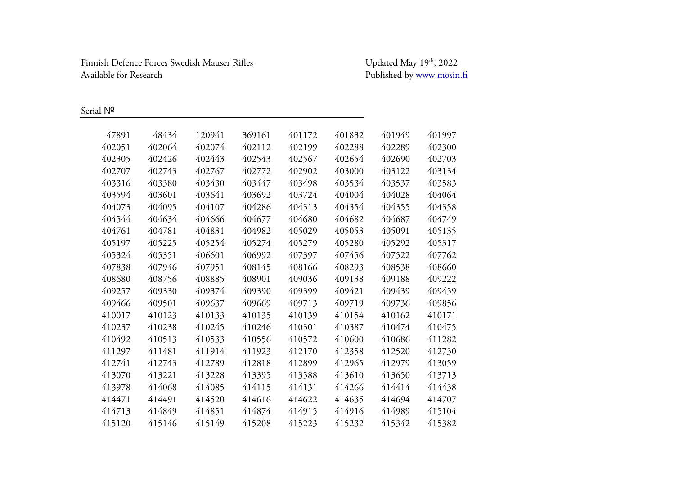Finnish Defence Forces Swedish Mauser Rifles Available for Research

Updated May  $19<sup>th</sup>$ , 2022 Published by [www.mosin.fi](http://www.mosin.fi/)

Serial Nº

| 47891  | 48434  | 120941 | 369161 | 401172 | 401832 | 401949 | 401997 |
|--------|--------|--------|--------|--------|--------|--------|--------|
| 402051 | 402064 | 402074 | 402112 | 402199 | 402288 | 402289 | 402300 |
| 402305 | 402426 | 402443 | 402543 | 402567 | 402654 | 402690 | 402703 |
| 402707 | 402743 | 402767 | 402772 | 402902 | 403000 | 403122 | 403134 |
| 403316 | 403380 | 403430 | 403447 | 403498 | 403534 | 403537 | 403583 |
| 403594 | 403601 | 403641 | 403692 | 403724 | 404004 | 404028 | 404064 |
| 404073 | 404095 | 404107 | 404286 | 404313 | 404354 | 404355 | 404358 |
| 404544 | 404634 | 404666 | 404677 | 404680 | 404682 | 404687 | 404749 |
| 404761 | 404781 | 404831 | 404982 | 405029 | 405053 | 405091 | 405135 |
| 405197 | 405225 | 405254 | 405274 | 405279 | 405280 | 405292 | 405317 |
| 405324 | 405351 | 406601 | 406992 | 407397 | 407456 | 407522 | 407762 |
| 407838 | 407946 | 407951 | 408145 | 408166 | 408293 | 408538 | 408660 |
| 408680 | 408756 | 408885 | 408901 | 409036 | 409138 | 409188 | 409222 |
| 409257 | 409330 | 409374 | 409390 | 409399 | 409421 | 409439 | 409459 |
| 409466 | 409501 | 409637 | 409669 | 409713 | 409719 | 409736 | 409856 |
| 410017 | 410123 | 410133 | 410135 | 410139 | 410154 | 410162 | 410171 |
| 410237 | 410238 | 410245 | 410246 | 410301 | 410387 | 410474 | 410475 |
| 410492 | 410513 | 410533 | 410556 | 410572 | 410600 | 410686 | 411282 |
| 411297 | 411481 | 411914 | 411923 | 412170 | 412358 | 412520 | 412730 |
| 412741 | 412743 | 412789 | 412818 | 412899 | 412965 | 412979 | 413059 |
| 413070 | 413221 | 413228 | 413395 | 413588 | 413610 | 413650 | 413713 |
| 413978 | 414068 | 414085 | 414115 | 414131 | 414266 | 414414 | 414438 |
| 414471 | 414491 | 414520 | 414616 | 414622 | 414635 | 414694 | 414707 |
| 414713 | 414849 | 414851 | 414874 | 414915 | 414916 | 414989 | 415104 |
| 415120 | 415146 | 415149 | 415208 | 415223 | 415232 | 415342 | 415382 |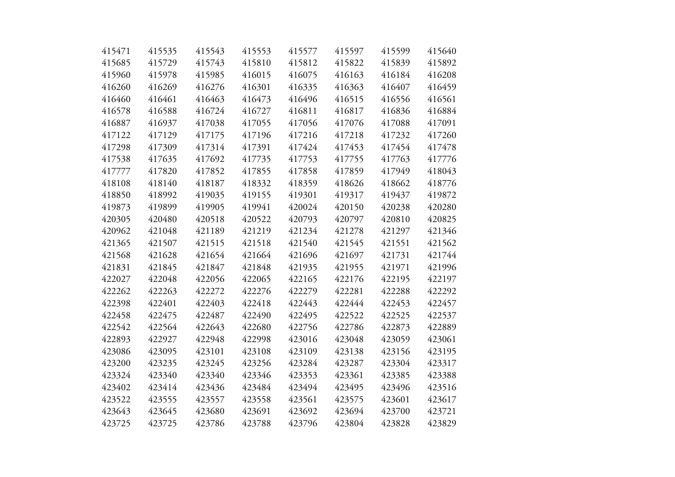| 415471 | 415535 | 415543 | 415553 | 415577 | 415597 | 415599 | 415640 |
|--------|--------|--------|--------|--------|--------|--------|--------|
| 415685 | 415729 | 415743 | 415810 | 415812 | 415822 | 415839 | 415892 |
| 415960 | 415978 | 415985 | 416015 | 416075 | 416163 | 416184 | 416208 |
| 416260 | 416269 | 416276 | 416301 | 416335 | 416363 | 416407 | 416459 |
| 416460 | 416461 | 416463 | 416473 | 416496 | 416515 | 416556 | 416561 |
| 416578 | 416588 | 416724 | 416727 | 416811 | 416817 | 416836 | 416884 |
| 416887 | 416937 | 417038 | 417055 | 417056 | 417076 | 417088 | 417091 |
| 417122 | 417129 | 417175 | 417196 | 417216 | 417218 | 417232 | 417260 |
| 417298 | 417309 | 417314 | 417391 | 417424 | 417453 | 417454 | 417478 |
| 417538 | 417635 | 417692 | 417735 | 417753 | 417755 | 417763 | 417776 |
| 417777 | 417820 | 417852 | 417855 | 417858 | 417859 | 417949 | 418043 |
| 418108 | 418140 | 418187 | 418332 | 418359 | 418626 | 418662 | 418776 |
| 418850 | 418992 | 419035 | 419155 | 419301 | 419317 | 419437 | 419872 |
| 419873 | 419899 | 419905 | 419941 | 420024 | 420150 | 420238 | 420280 |
| 420305 | 420480 | 420518 | 420522 | 420793 | 420797 | 420810 | 420825 |
| 420962 | 421048 | 421189 | 421219 | 421234 | 421278 | 421297 | 421346 |
| 421365 | 421507 | 421515 | 421518 | 421540 | 421545 | 421551 | 421562 |
| 421568 | 421628 | 421654 | 421664 | 421696 | 421697 | 421731 | 421744 |
| 421831 | 421845 | 421847 | 421848 | 421935 | 421955 | 421971 | 421996 |
| 422027 | 422048 | 422056 | 422065 | 422165 | 422176 | 422195 | 422197 |
| 422262 | 422263 | 422272 | 422276 | 422279 | 422281 | 422288 | 422292 |
| 422398 | 422401 | 422403 | 422418 | 422443 | 422444 | 422453 | 422457 |
| 422458 | 422475 | 422487 | 422490 | 422495 | 422522 | 422525 | 422537 |
| 422542 | 422564 | 422643 | 422680 | 422756 | 422786 | 422873 | 422889 |
| 422893 | 422927 | 422948 | 422998 | 423016 | 423048 | 423059 | 423061 |
| 423086 | 423095 | 423101 | 423108 | 423109 | 423138 | 423156 | 423195 |
| 423200 | 423235 | 423245 | 423256 | 423284 | 423287 | 423304 | 423317 |
| 423324 | 423340 | 423340 | 423346 | 423353 | 423361 | 423385 | 423388 |
| 423402 | 423414 | 423436 | 423484 | 423494 | 423495 | 423496 | 423516 |
| 423522 | 423555 | 423557 | 423558 | 423561 | 423575 | 423601 | 423617 |
| 423643 | 423645 | 423680 | 423691 | 423692 | 423694 | 423700 | 423721 |
| 423725 | 423725 | 423786 | 423788 | 423796 | 423804 | 423828 | 423829 |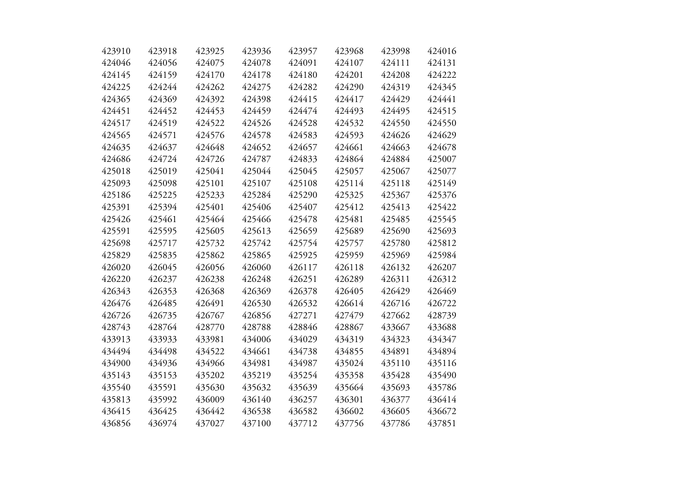| 423910 | 423918 | 423925 | 423936 | 423957 | 423968 | 423998 | 424016 |
|--------|--------|--------|--------|--------|--------|--------|--------|
| 424046 | 424056 | 424075 | 424078 | 424091 | 424107 | 424111 | 424131 |
| 424145 | 424159 | 424170 | 424178 | 424180 | 424201 | 424208 | 424222 |
| 424225 | 424244 | 424262 | 424275 | 424282 | 424290 | 424319 | 424345 |
| 424365 | 424369 | 424392 | 424398 | 424415 | 424417 | 424429 | 424441 |
| 424451 | 424452 | 424453 | 424459 | 424474 | 424493 | 424495 | 424515 |
| 424517 | 424519 | 424522 | 424526 | 424528 | 424532 | 424550 | 424550 |
| 424565 | 424571 | 424576 | 424578 | 424583 | 424593 | 424626 | 424629 |
| 424635 | 424637 | 424648 | 424652 | 424657 | 424661 | 424663 | 424678 |
| 424686 | 424724 | 424726 | 424787 | 424833 | 424864 | 424884 | 425007 |
| 425018 | 425019 | 425041 | 425044 | 425045 | 425057 | 425067 | 425077 |
| 425093 | 425098 | 425101 | 425107 | 425108 | 425114 | 425118 | 425149 |
| 425186 | 425225 | 425233 | 425284 | 425290 | 425325 | 425367 | 425376 |
| 425391 | 425394 | 425401 | 425406 | 425407 | 425412 | 425413 | 425422 |
| 425426 | 425461 | 425464 | 425466 | 425478 | 425481 | 425485 | 425545 |
| 425591 | 425595 | 425605 | 425613 | 425659 | 425689 | 425690 | 425693 |
| 425698 | 425717 | 425732 | 425742 | 425754 | 425757 | 425780 | 425812 |
| 425829 | 425835 | 425862 | 425865 | 425925 | 425959 | 425969 | 425984 |
| 426020 | 426045 | 426056 | 426060 | 426117 | 426118 | 426132 | 426207 |
| 426220 | 426237 | 426238 | 426248 | 426251 | 426289 | 426311 | 426312 |
| 426343 | 426353 | 426368 | 426369 | 426378 | 426405 | 426429 | 426469 |
| 426476 | 426485 | 426491 | 426530 | 426532 | 426614 | 426716 | 426722 |
| 426726 | 426735 | 426767 | 426856 | 427271 | 427479 | 427662 | 428739 |
| 428743 | 428764 | 428770 | 428788 | 428846 | 428867 | 433667 | 433688 |
| 433913 | 433933 | 433981 | 434006 | 434029 | 434319 | 434323 | 434347 |
| 434494 | 434498 | 434522 | 434661 | 434738 | 434855 | 434891 | 434894 |
| 434900 | 434936 | 434966 | 434981 | 434987 | 435024 | 435110 | 435116 |
| 435143 | 435153 | 435202 | 435219 | 435254 | 435358 | 435428 | 435490 |
| 435540 | 435591 | 435630 | 435632 | 435639 | 435664 | 435693 | 435786 |
| 435813 | 435992 | 436009 | 436140 | 436257 | 436301 | 436377 | 436414 |
| 436415 | 436425 | 436442 | 436538 | 436582 | 436602 | 436605 | 436672 |
| 436856 | 436974 | 437027 | 437100 | 437712 | 437756 | 437786 | 437851 |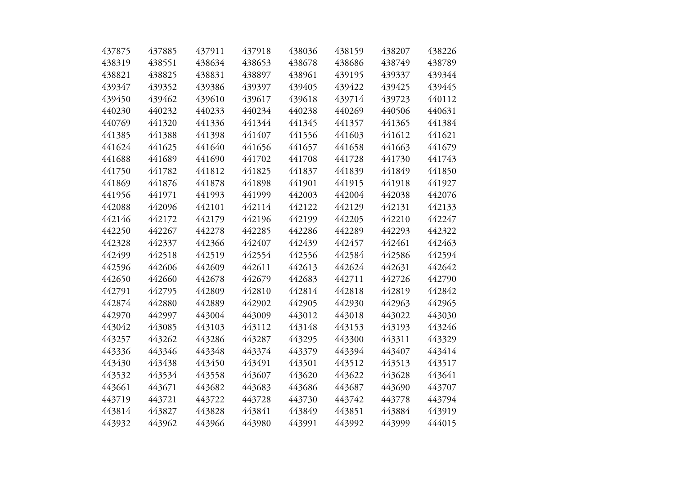| 437875 | 437885 | 437911 | 437918 | 438036 | 438159 | 438207 | 438226 |
|--------|--------|--------|--------|--------|--------|--------|--------|
| 438319 | 438551 | 438634 | 438653 | 438678 | 438686 | 438749 | 438789 |
| 438821 | 438825 | 438831 | 438897 | 438961 | 439195 | 439337 | 439344 |
| 439347 | 439352 | 439386 | 439397 | 439405 | 439422 | 439425 | 439445 |
| 439450 | 439462 | 439610 | 439617 | 439618 | 439714 | 439723 | 440112 |
| 440230 | 440232 | 440233 | 440234 | 440238 | 440269 | 440506 | 440631 |
| 440769 | 441320 | 441336 | 441344 | 441345 | 441357 | 441365 | 441384 |
| 441385 | 441388 | 441398 | 441407 | 441556 | 441603 | 441612 | 441621 |
| 441624 | 441625 | 441640 | 441656 | 441657 | 441658 | 441663 | 441679 |
| 441688 | 441689 | 441690 | 441702 | 441708 | 441728 | 441730 | 441743 |
| 441750 | 441782 | 441812 | 441825 | 441837 | 441839 | 441849 | 441850 |
| 441869 | 441876 | 441878 | 441898 | 441901 | 441915 | 441918 | 441927 |
| 441956 | 441971 | 441993 | 441999 | 442003 | 442004 | 442038 | 442076 |
| 442088 | 442096 | 442101 | 442114 | 442122 | 442129 | 442131 | 442133 |
| 442146 | 442172 | 442179 | 442196 | 442199 | 442205 | 442210 | 442247 |
| 442250 | 442267 | 442278 | 442285 | 442286 | 442289 | 442293 | 442322 |
| 442328 | 442337 | 442366 | 442407 | 442439 | 442457 | 442461 | 442463 |
| 442499 | 442518 | 442519 | 442554 | 442556 | 442584 | 442586 | 442594 |
| 442596 | 442606 | 442609 | 442611 | 442613 | 442624 | 442631 | 442642 |
| 442650 | 442660 | 442678 | 442679 | 442683 | 442711 | 442726 | 442790 |
| 442791 | 442795 | 442809 | 442810 | 442814 | 442818 | 442819 | 442842 |
| 442874 | 442880 | 442889 | 442902 | 442905 | 442930 | 442963 | 442965 |
| 442970 | 442997 | 443004 | 443009 | 443012 | 443018 | 443022 | 443030 |
| 443042 | 443085 | 443103 | 443112 | 443148 | 443153 | 443193 | 443246 |
| 443257 | 443262 | 443286 | 443287 | 443295 | 443300 | 443311 | 443329 |
| 443336 | 443346 | 443348 | 443374 | 443379 | 443394 | 443407 | 443414 |
| 443430 | 443438 | 443450 | 443491 | 443501 | 443512 | 443513 | 443517 |
| 443532 | 443534 | 443558 | 443607 | 443620 | 443622 | 443628 | 443641 |
| 443661 | 443671 | 443682 | 443683 | 443686 | 443687 | 443690 | 443707 |
| 443719 | 443721 | 443722 | 443728 | 443730 | 443742 | 443778 | 443794 |
| 443814 | 443827 | 443828 | 443841 | 443849 | 443851 | 443884 | 443919 |
| 443932 | 443962 | 443966 | 443980 | 443991 | 443992 | 443999 | 444015 |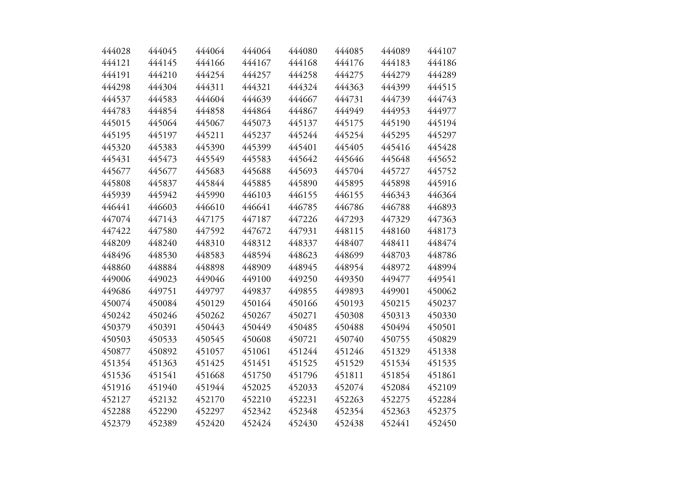| 444028<br>444121 | 444045<br>444145 | 444064 | 444064 | 444080 | 444085 | 444089 | 444107 |
|------------------|------------------|--------|--------|--------|--------|--------|--------|
|                  |                  | 444166 | 444167 | 444168 | 444176 | 444183 | 444186 |
| 444191           | 444210           | 444254 | 444257 | 444258 | 444275 | 444279 | 444289 |
| 444298           | 444304           | 444311 | 444321 | 444324 | 444363 | 444399 | 444515 |
| 444537           | 444583           | 444604 | 444639 | 444667 | 444731 | 444739 | 444743 |
| 444783           | 444854           | 444858 | 444864 | 444867 | 444949 | 444953 | 444977 |
| 445015           | 445064           | 445067 | 445073 | 445137 | 445175 | 445190 | 445194 |
| 445195           | 445197           | 445211 | 445237 | 445244 | 445254 | 445295 | 445297 |
| 445320           | 445383           | 445390 | 445399 | 445401 | 445405 | 445416 | 445428 |
| 445431           | 445473           | 445549 | 445583 | 445642 | 445646 | 445648 | 445652 |
| 445677           | 445677           | 445683 | 445688 | 445693 | 445704 | 445727 | 445752 |
|                  |                  |        |        |        |        |        |        |
| 445808           | 445837           | 445844 | 445885 | 445890 | 445895 | 445898 | 445916 |
| 445939           | 445942           | 445990 | 446103 | 446155 | 446155 | 446343 | 446364 |
| 446441           | 446603           | 446610 | 446641 | 446785 | 446786 | 446788 | 446893 |
| 447074           | 447143           | 447175 | 447187 | 447226 | 447293 | 447329 | 447363 |
| 447422           | 447580           | 447592 | 447672 | 447931 | 448115 | 448160 | 448173 |
| 448209           | 448240           | 448310 | 448312 | 448337 | 448407 | 448411 | 448474 |
| 448496           | 448530           | 448583 | 448594 | 448623 | 448699 | 448703 | 448786 |
| 448860           | 448884           | 448898 | 448909 | 448945 | 448954 | 448972 | 448994 |
| 449006           | 449023           | 449046 | 449100 | 449250 | 449350 | 449477 | 449541 |
| 449686           | 449751           | 449797 | 449837 | 449855 | 449893 | 449901 | 450062 |
| 450074           | 450084           | 450129 | 450164 | 450166 | 450193 | 450215 | 450237 |
| 450242           | 450246           | 450262 | 450267 | 450271 | 450308 | 450313 | 450330 |
| 450379           | 450391           | 450443 | 450449 | 450485 | 450488 | 450494 | 450501 |
| 450503           | 450533           | 450545 | 450608 | 450721 | 450740 | 450755 | 450829 |
| 450877           | 450892           | 451057 | 451061 | 451244 | 451246 | 451329 | 451338 |
| 451354           | 451363           | 451425 | 451451 | 451525 | 451529 | 451534 | 451535 |
| 451536           | 451541           | 451668 | 451750 | 451796 | 451811 | 451854 | 451861 |
| 451916           | 451940           | 451944 | 452025 | 452033 | 452074 | 452084 | 452109 |
| 452127           | 452132           | 452170 | 452210 | 452231 | 452263 | 452275 | 452284 |
| 452288           | 452290           | 452297 | 452342 | 452348 | 452354 | 452363 | 452375 |
| 452379           | 452389           | 452420 | 452424 | 452430 | 452438 | 452441 | 452450 |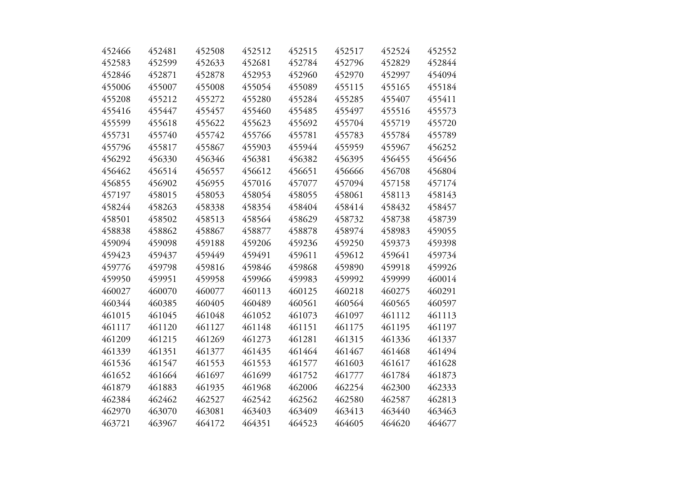| 452466 | 452481 | 452508 | 452512 | 452515 | 452517 | 452524 | 452552 |
|--------|--------|--------|--------|--------|--------|--------|--------|
| 452583 | 452599 | 452633 | 452681 | 452784 | 452796 | 452829 | 452844 |
| 452846 | 452871 | 452878 | 452953 | 452960 | 452970 | 452997 | 454094 |
| 455006 | 455007 | 455008 | 455054 | 455089 | 455115 | 455165 | 455184 |
| 455208 | 455212 | 455272 | 455280 | 455284 | 455285 | 455407 | 455411 |
| 455416 | 455447 | 455457 | 455460 | 455485 | 455497 | 455516 | 455573 |
| 455599 | 455618 | 455622 | 455623 | 455692 | 455704 | 455719 | 455720 |
| 455731 | 455740 | 455742 | 455766 | 455781 | 455783 | 455784 | 455789 |
| 455796 | 455817 | 455867 | 455903 | 455944 | 455959 | 455967 | 456252 |
| 456292 | 456330 | 456346 | 456381 | 456382 | 456395 | 456455 | 456456 |
| 456462 | 456514 | 456557 | 456612 | 456651 | 456666 | 456708 | 456804 |
| 456855 | 456902 | 456955 | 457016 | 457077 | 457094 | 457158 | 457174 |
| 457197 | 458015 | 458053 | 458054 | 458055 | 458061 | 458113 | 458143 |
| 458244 | 458263 | 458338 | 458354 | 458404 | 458414 | 458432 | 458457 |
| 458501 | 458502 | 458513 | 458564 | 458629 | 458732 | 458738 | 458739 |
| 458838 | 458862 | 458867 | 458877 | 458878 | 458974 | 458983 | 459055 |
| 459094 | 459098 | 459188 | 459206 | 459236 | 459250 | 459373 | 459398 |
| 459423 | 459437 | 459449 | 459491 | 459611 | 459612 | 459641 | 459734 |
| 459776 | 459798 | 459816 | 459846 | 459868 | 459890 | 459918 | 459926 |
| 459950 | 459951 | 459958 | 459966 | 459983 | 459992 | 459999 | 460014 |
| 460027 | 460070 | 460077 | 460113 | 460125 | 460218 | 460275 | 460291 |
| 460344 | 460385 | 460405 | 460489 | 460561 | 460564 | 460565 | 460597 |
| 461015 | 461045 | 461048 | 461052 | 461073 | 461097 | 461112 | 461113 |
| 461117 | 461120 | 461127 | 461148 | 461151 | 461175 | 461195 | 461197 |
| 461209 | 461215 | 461269 | 461273 | 461281 | 461315 | 461336 | 461337 |
| 461339 | 461351 | 461377 | 461435 | 461464 | 461467 | 461468 | 461494 |
| 461536 | 461547 | 461553 | 461553 | 461577 | 461603 | 461617 | 461628 |
| 461652 | 461664 | 461697 | 461699 | 461752 | 461777 | 461784 | 461873 |
| 461879 | 461883 | 461935 | 461968 | 462006 | 462254 | 462300 | 462333 |
| 462384 | 462462 | 462527 | 462542 | 462562 | 462580 | 462587 | 462813 |
| 462970 | 463070 | 463081 | 463403 | 463409 | 463413 | 463440 | 463463 |
| 463721 | 463967 | 464172 | 464351 | 464523 | 464605 | 464620 | 464677 |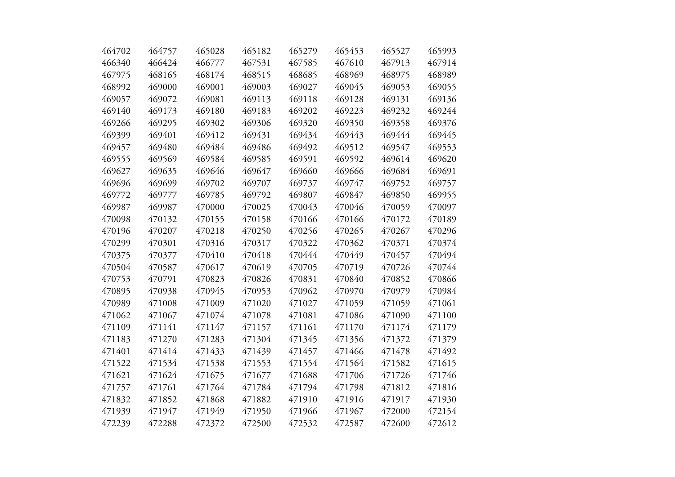| 464702 | 464757 | 465028 | 465182 | 465279 | 465453 | 465527 | 465993 |
|--------|--------|--------|--------|--------|--------|--------|--------|
| 466340 | 466424 | 466777 | 467531 | 467585 | 467610 | 467913 | 467914 |
| 467975 | 468165 | 468174 | 468515 | 468685 | 468969 | 468975 | 468989 |
| 468992 | 469000 | 469001 | 469003 | 469027 | 469045 | 469053 | 469055 |
| 469057 | 469072 | 469081 | 469113 | 469118 | 469128 | 469131 | 469136 |
| 469140 | 469173 | 469180 | 469183 | 469202 | 469223 | 469232 | 469244 |
| 469266 | 469295 | 469302 | 469306 | 469320 | 469350 | 469358 | 469376 |
| 469399 | 469401 | 469412 | 469431 | 469434 | 469443 | 469444 | 469445 |
| 469457 | 469480 | 469484 | 469486 | 469492 | 469512 | 469547 | 469553 |
| 469555 | 469569 | 469584 | 469585 | 469591 | 469592 | 469614 | 469620 |
| 469627 | 469635 | 469646 | 469647 | 469660 | 469666 | 469684 | 469691 |
| 469696 | 469699 | 469702 | 469707 | 469737 | 469747 | 469752 | 469757 |
| 469772 | 469777 | 469785 | 469792 | 469807 | 469847 | 469850 | 469955 |
| 469987 | 469987 | 470000 | 470025 | 470043 | 470046 | 470059 | 470097 |
| 470098 | 470132 | 470155 | 470158 | 470166 | 470166 | 470172 | 470189 |
| 470196 | 470207 | 470218 | 470250 | 470256 | 470265 | 470267 | 470296 |
| 470299 | 470301 | 470316 | 470317 | 470322 | 470362 | 470371 | 470374 |
| 470375 | 470377 | 470410 | 470418 | 470444 | 470449 | 470457 | 470494 |
| 470504 | 470587 | 470617 | 470619 | 470705 | 470719 | 470726 | 470744 |
| 470753 | 470791 | 470823 | 470826 | 470831 | 470840 | 470852 | 470866 |
| 470895 | 470938 | 470945 | 470953 | 470962 | 470970 | 470979 | 470984 |
| 470989 | 471008 | 471009 | 471020 | 471027 | 471059 | 471059 | 471061 |
| 471062 | 471067 | 471074 | 471078 | 471081 | 471086 | 471090 | 471100 |
| 471109 | 471141 | 471147 | 471157 | 471161 | 471170 | 471174 | 471179 |
| 471183 | 471270 | 471283 | 471304 | 471345 | 471356 | 471372 | 471379 |
| 471401 | 471414 | 471433 | 471439 | 471457 | 471466 | 471478 | 471492 |
| 471522 | 471534 | 471538 | 471553 | 471554 | 471564 | 471582 | 471615 |
| 471621 | 471624 | 471675 | 471677 | 471688 | 471706 | 471726 | 471746 |
| 471757 | 471761 | 471764 | 471784 | 471794 | 471798 | 471812 | 471816 |
| 471832 | 471852 | 471868 | 471882 | 471910 | 471916 | 471917 | 471930 |
| 471939 | 471947 | 471949 | 471950 | 471966 | 471967 | 472000 | 472154 |
| 472239 | 472288 | 472372 | 472500 | 472532 | 472587 | 472600 | 472612 |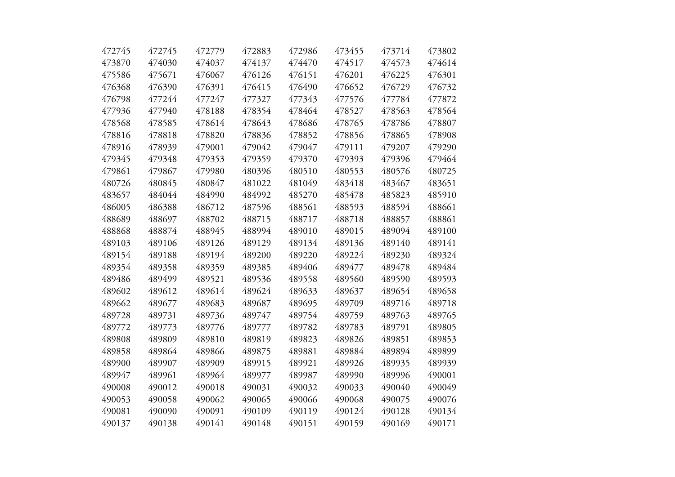| 472745 | 472745 | 472779 | 472883 | 472986 | 473455 | 473714 | 473802 |
|--------|--------|--------|--------|--------|--------|--------|--------|
| 473870 | 474030 | 474037 | 474137 | 474470 | 474517 | 474573 | 474614 |
| 475586 | 475671 | 476067 | 476126 | 476151 | 476201 | 476225 | 476301 |
| 476368 | 476390 | 476391 | 476415 | 476490 | 476652 | 476729 | 476732 |
| 476798 | 477244 | 477247 | 477327 | 477343 | 477576 | 477784 | 477872 |
| 477936 | 477940 | 478188 | 478354 | 478464 | 478527 | 478563 | 478564 |
| 478568 | 478585 | 478614 | 478643 | 478686 | 478765 | 478786 | 478807 |
| 478816 | 478818 | 478820 | 478836 | 478852 | 478856 | 478865 | 478908 |
| 478916 | 478939 | 479001 | 479042 | 479047 | 479111 | 479207 | 479290 |
| 479345 | 479348 | 479353 | 479359 | 479370 | 479393 | 479396 | 479464 |
| 479861 | 479867 | 479980 | 480396 | 480510 | 480553 | 480576 | 480725 |
| 480726 | 480845 | 480847 | 481022 | 481049 | 483418 | 483467 | 483651 |
| 483657 | 484044 | 484990 | 484992 | 485270 | 485478 | 485823 | 485910 |
| 486005 | 486388 | 486712 | 487596 | 488561 | 488593 | 488594 | 488661 |
| 488689 | 488697 | 488702 | 488715 | 488717 | 488718 | 488857 | 488861 |
| 488868 | 488874 | 488945 | 488994 | 489010 | 489015 | 489094 | 489100 |
| 489103 | 489106 | 489126 | 489129 | 489134 | 489136 | 489140 | 489141 |
| 489154 | 489188 | 489194 | 489200 | 489220 | 489224 | 489230 | 489324 |
| 489354 | 489358 | 489359 | 489385 | 489406 | 489477 | 489478 | 489484 |
| 489486 | 489499 | 489521 | 489536 | 489558 | 489560 | 489590 | 489593 |
| 489602 | 489612 | 489614 | 489624 | 489633 | 489637 | 489654 | 489658 |
| 489662 | 489677 | 489683 | 489687 | 489695 | 489709 | 489716 | 489718 |
| 489728 | 489731 | 489736 | 489747 | 489754 | 489759 | 489763 | 489765 |
| 489772 | 489773 | 489776 | 489777 | 489782 | 489783 | 489791 | 489805 |
| 489808 | 489809 | 489810 | 489819 | 489823 | 489826 | 489851 | 489853 |
| 489858 | 489864 | 489866 | 489875 | 489881 | 489884 | 489894 | 489899 |
| 489900 | 489907 | 489909 | 489915 | 489921 | 489926 | 489935 | 489939 |
| 489947 | 489961 | 489964 | 489977 | 489987 | 489990 | 489996 | 490001 |
| 490008 | 490012 | 490018 | 490031 | 490032 | 490033 | 490040 | 490049 |
| 490053 | 490058 | 490062 | 490065 | 490066 | 490068 | 490075 | 490076 |
| 490081 | 490090 | 490091 | 490109 | 490119 | 490124 | 490128 | 490134 |
| 490137 | 490138 | 490141 | 490148 | 490151 | 490159 | 490169 | 490171 |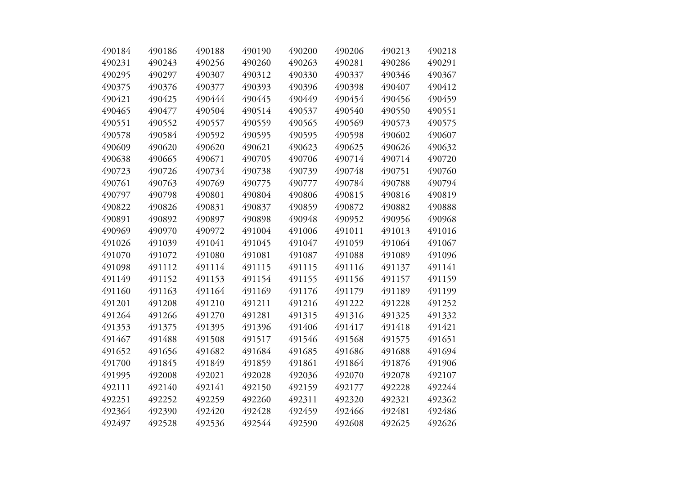| 490184 | 490186 | 490188 | 490190 | 490200 | 490206 | 490213 | 490218 |
|--------|--------|--------|--------|--------|--------|--------|--------|
| 490231 | 490243 | 490256 | 490260 | 490263 | 490281 | 490286 | 490291 |
| 490295 | 490297 | 490307 | 490312 | 490330 | 490337 | 490346 | 490367 |
| 490375 | 490376 | 490377 | 490393 | 490396 | 490398 | 490407 | 490412 |
| 490421 | 490425 | 490444 | 490445 | 490449 | 490454 | 490456 | 490459 |
| 490465 | 490477 | 490504 | 490514 | 490537 | 490540 | 490550 | 490551 |
| 490551 | 490552 | 490557 | 490559 | 490565 | 490569 | 490573 | 490575 |
| 490578 | 490584 | 490592 | 490595 | 490595 | 490598 | 490602 | 490607 |
| 490609 | 490620 | 490620 | 490621 | 490623 | 490625 | 490626 | 490632 |
| 490638 | 490665 | 490671 | 490705 | 490706 | 490714 | 490714 | 490720 |
| 490723 | 490726 | 490734 | 490738 | 490739 | 490748 | 490751 | 490760 |
| 490761 | 490763 | 490769 | 490775 | 490777 | 490784 | 490788 | 490794 |
| 490797 | 490798 | 490801 | 490804 | 490806 | 490815 | 490816 | 490819 |
| 490822 | 490826 | 490831 | 490837 | 490859 | 490872 | 490882 | 490888 |
| 490891 | 490892 | 490897 | 490898 | 490948 | 490952 | 490956 | 490968 |
| 490969 | 490970 | 490972 | 491004 | 491006 | 491011 | 491013 | 491016 |
| 491026 | 491039 | 491041 | 491045 | 491047 | 491059 | 491064 | 491067 |
| 491070 | 491072 | 491080 | 491081 | 491087 | 491088 | 491089 | 491096 |
| 491098 | 491112 | 491114 | 491115 | 491115 | 491116 | 491137 | 491141 |
| 491149 | 491152 | 491153 | 491154 | 491155 | 491156 | 491157 | 491159 |
| 491160 | 491163 | 491164 | 491169 | 491176 | 491179 | 491189 | 491199 |
| 491201 | 491208 | 491210 | 491211 | 491216 | 491222 | 491228 | 491252 |
| 491264 | 491266 | 491270 | 491281 | 491315 | 491316 | 491325 | 491332 |
| 491353 | 491375 | 491395 | 491396 | 491406 | 491417 | 491418 | 491421 |
| 491467 | 491488 | 491508 | 491517 | 491546 | 491568 | 491575 | 491651 |
| 491652 | 491656 | 491682 | 491684 | 491685 | 491686 | 491688 | 491694 |
| 491700 | 491845 | 491849 | 491859 | 491861 | 491864 | 491876 | 491906 |
| 491995 | 492008 | 492021 | 492028 | 492036 | 492070 | 492078 | 492107 |
| 492111 | 492140 | 492141 | 492150 | 492159 | 492177 | 492228 | 492244 |
| 492251 | 492252 | 492259 | 492260 | 492311 | 492320 | 492321 | 492362 |
| 492364 | 492390 | 492420 | 492428 | 492459 | 492466 | 492481 | 492486 |
| 492497 | 492528 | 492536 | 492544 | 492590 | 492608 | 492625 | 492626 |